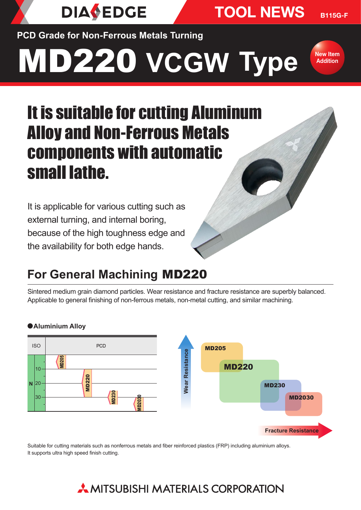TOOL NEWS

**PCD Grade for Non-Ferrous Metals Turning**

**DIAVEDGE** 

# MD220 **VCGW Type**



B115G-F

# It is suitable for cutting Aluminum Alloy and Non-Ferrous Metals components with automatic small lathe.

It is applicable for various cutting such as external turning, and internal boring, because of the high toughness edge and the availability for both edge hands.

## **For General Machining** MD220

Sintered medium grain diamond particles. Wear resistance and fracture resistance are superbly balanced. Applicable to general finishing of non-ferrous metals, non-metal cutting, and similar machining.



#### a **Aluminium Alloy**

Suitable for cutting materials such as nonferrous metals and fiber reinforced plastics (FRP) including aluminium alloys. It supports ultra high speed finish cutting.

## $\star$  MITSUBISHI MATERIAIS CORPORATION